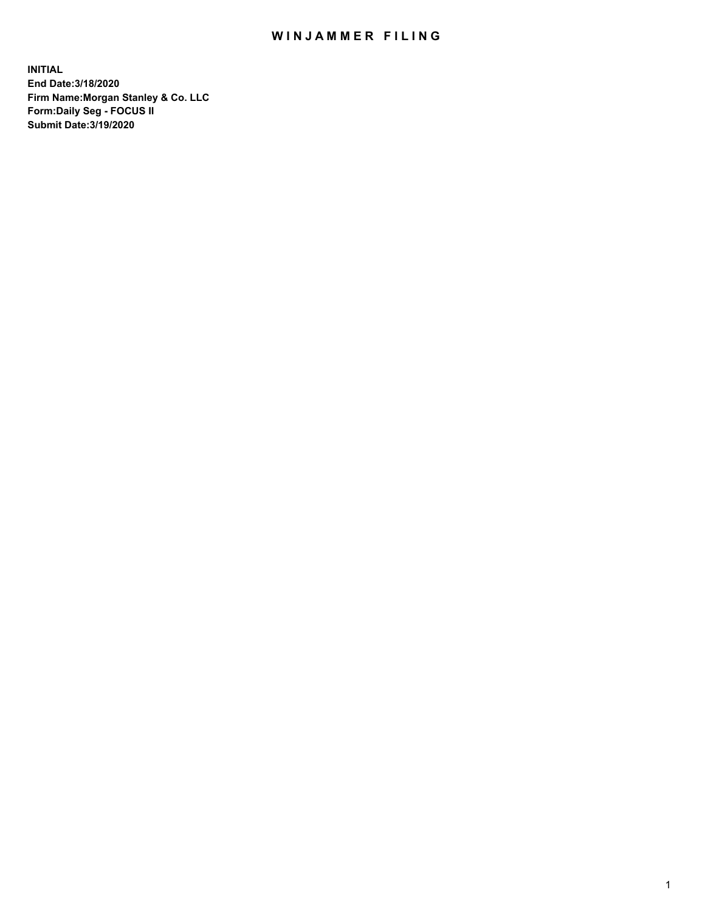## WIN JAMMER FILING

**INITIAL End Date:3/18/2020 Firm Name:Morgan Stanley & Co. LLC Form:Daily Seg - FOCUS II Submit Date:3/19/2020**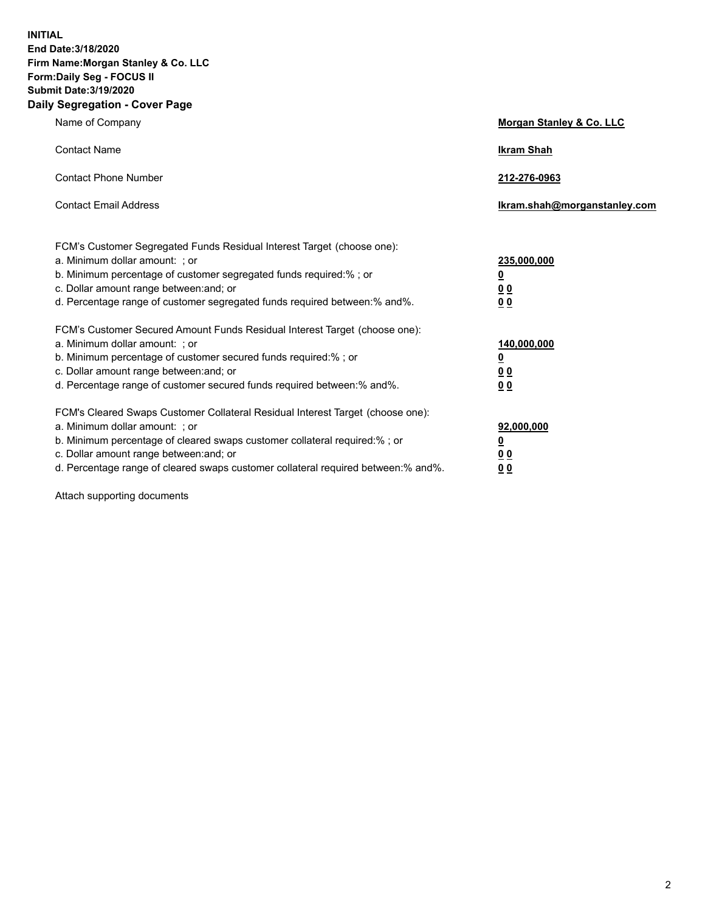**INITIAL End Date:3/18/2020 Firm Name:Morgan Stanley & Co. LLC Form:Daily Seg - FOCUS II Submit Date:3/19/2020 Daily Segregation - Cover Page**

| Name of Company                                                                                                                                                                                                                                                                                                               | Morgan Stanley & Co. LLC                               |
|-------------------------------------------------------------------------------------------------------------------------------------------------------------------------------------------------------------------------------------------------------------------------------------------------------------------------------|--------------------------------------------------------|
| <b>Contact Name</b>                                                                                                                                                                                                                                                                                                           | <b>Ikram Shah</b>                                      |
| <b>Contact Phone Number</b>                                                                                                                                                                                                                                                                                                   | 212-276-0963                                           |
| <b>Contact Email Address</b>                                                                                                                                                                                                                                                                                                  | Ikram.shah@morganstanley.com                           |
| FCM's Customer Segregated Funds Residual Interest Target (choose one):<br>a. Minimum dollar amount: ; or<br>b. Minimum percentage of customer segregated funds required:% ; or<br>c. Dollar amount range between: and; or<br>d. Percentage range of customer segregated funds required between:% and%.                        | 235,000,000<br><u>0</u><br><u>00</u><br>0 <sup>0</sup> |
| FCM's Customer Secured Amount Funds Residual Interest Target (choose one):<br>a. Minimum dollar amount: ; or<br>b. Minimum percentage of customer secured funds required:%; or<br>c. Dollar amount range between: and; or<br>d. Percentage range of customer secured funds required between:% and%.                           | 140,000,000<br><u>0</u><br><u>00</u><br>0 <sub>0</sub> |
| FCM's Cleared Swaps Customer Collateral Residual Interest Target (choose one):<br>a. Minimum dollar amount: ; or<br>b. Minimum percentage of cleared swaps customer collateral required:%; or<br>c. Dollar amount range between: and; or<br>d. Percentage range of cleared swaps customer collateral required between:% and%. | 92,000,000<br><u>0</u><br>0 Q<br>00                    |

Attach supporting documents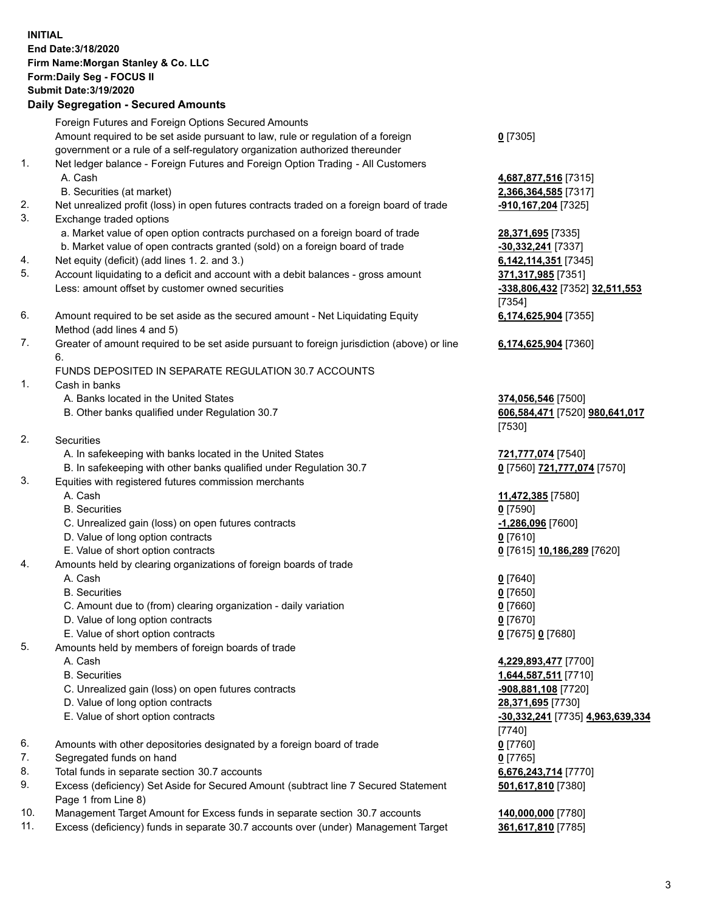## **INITIAL End Date:3/18/2020 Firm Name:Morgan Stanley & Co. LLC Form:Daily Seg - FOCUS II Submit Date:3/19/2020 Daily Segregation - Secured Amounts** Foreign Futures and Foreign Options Secured Amounts Amount required to be set aside pursuant to law, rule or regulation of a foreign government or a rule of a self-regulatory organization authorized thereunder **0** [7305] 1. Net ledger balance - Foreign Futures and Foreign Option Trading - All Customers A. Cash **4,687,877,516** [7315] B. Securities (at market) **2,366,364,585** [7317] 2. Net unrealized profit (loss) in open futures contracts traded on a foreign board of trade **-910,167,204** [7325] 3. Exchange traded options a. Market value of open option contracts purchased on a foreign board of trade **28,371,695** [7335] b. Market value of open contracts granted (sold) on a foreign board of trade **-30,332,241** [7337] 4. Net equity (deficit) (add lines 1. 2. and 3.) **6,142,114,351** [7345] 5. Account liquidating to a deficit and account with a debit balances - gross amount **371,317,985** [7351] Less: amount offset by customer owned securities **-338,806,432** [7352] **32,511,553** [7354] 6. Amount required to be set aside as the secured amount - Net Liquidating Equity Method (add lines 4 and 5) **6,174,625,904** [7355] 7. Greater of amount required to be set aside pursuant to foreign jurisdiction (above) or line 6. **6,174,625,904** [7360] FUNDS DEPOSITED IN SEPARATE REGULATION 30.7 ACCOUNTS 1. Cash in banks A. Banks located in the United States **374,056,546** [7500] B. Other banks qualified under Regulation 30.7 **606,584,471** [7520] **980,641,017** [7530] 2. Securities A. In safekeeping with banks located in the United States **721,777,074** [7540] B. In safekeeping with other banks qualified under Regulation 30.7 **0** [7560] **721,777,074** [7570] 3. Equities with registered futures commission merchants A. Cash **11,472,385** [7580] B. Securities **0** [7590] C. Unrealized gain (loss) on open futures contracts **-1,286,096** [7600] D. Value of long option contracts **0** [7610] E. Value of short option contracts **0** [7615] **10,186,289** [7620] 4. Amounts held by clearing organizations of foreign boards of trade A. Cash **0** [7640] B. Securities **0** [7650] C. Amount due to (from) clearing organization - daily variation **0** [7660] D. Value of long option contracts **0** [7670] E. Value of short option contracts **0** [7675] **0** [7680] 5. Amounts held by members of foreign boards of trade A. Cash **4,229,893,477** [7700] B. Securities **1,644,587,511** [7710] C. Unrealized gain (loss) on open futures contracts **-908,881,108** [7720] D. Value of long option contracts **28,371,695** [7730] E. Value of short option contracts **-30,332,241** [7735] **4,963,639,334** [7740] 6. Amounts with other depositories designated by a foreign board of trade **0** [7760] 7. Segregated funds on hand **0** [7765] 8. Total funds in separate section 30.7 accounts **6,676,243,714** [7770] **501,617,810** [7380]

- 9. Excess (deficiency) Set Aside for Secured Amount (subtract line 7 Secured Statement Page 1 from Line 8)
- 10. Management Target Amount for Excess funds in separate section 30.7 accounts **140,000,000** [7780]
- 11. Excess (deficiency) funds in separate 30.7 accounts over (under) Management Target **361,617,810** [7785]

3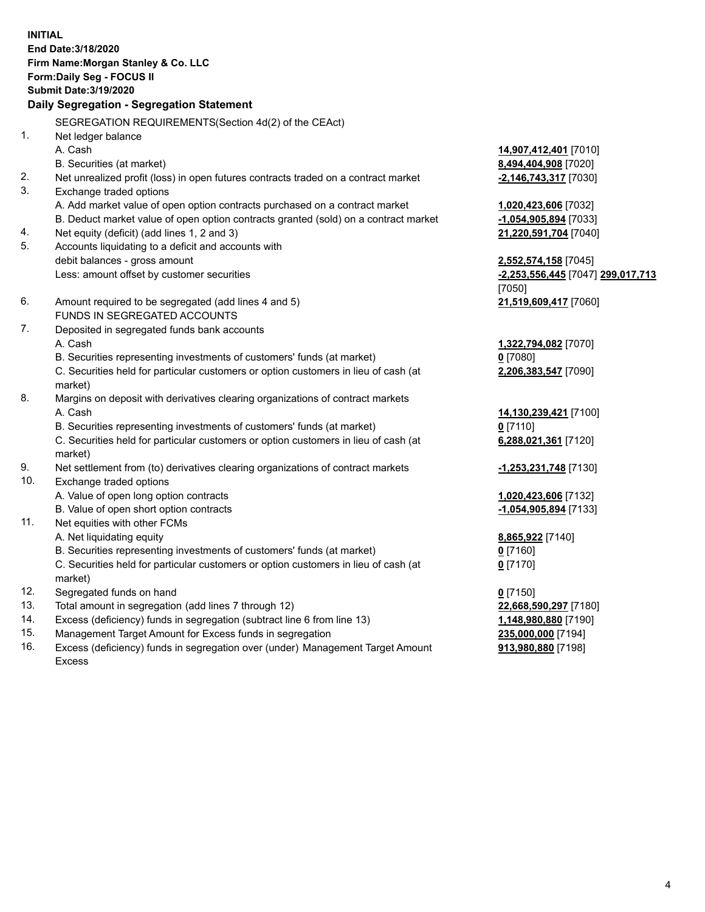**INITIAL End Date:3/18/2020 Firm Name:Morgan Stanley & Co. LLC Form:Daily Seg - FOCUS II Submit Date:3/19/2020 Daily Segregation - Segregation Statement** SEGREGATION REQUIREMENTS(Section 4d(2) of the CEAct) 1. Net ledger balance A. Cash **14,907,412,401** [7010] B. Securities (at market) **8,494,404,908** [7020] 2. Net unrealized profit (loss) in open futures contracts traded on a contract market **-2,146,743,317** [7030] 3. Exchange traded options A. Add market value of open option contracts purchased on a contract market **1,020,423,606** [7032] B. Deduct market value of open option contracts granted (sold) on a contract market **-1,054,905,894** [7033] 4. Net equity (deficit) (add lines 1, 2 and 3) **21,220,591,704** [7040] 5. Accounts liquidating to a deficit and accounts with debit balances - gross amount **2,552,574,158** [7045] Less: amount offset by customer securities **-2,253,556,445** [7047] **299,017,713** [7050] 6. Amount required to be segregated (add lines 4 and 5) **21,519,609,417** [7060] FUNDS IN SEGREGATED ACCOUNTS 7. Deposited in segregated funds bank accounts A. Cash **1,322,794,082** [7070] B. Securities representing investments of customers' funds (at market) **0** [7080] C. Securities held for particular customers or option customers in lieu of cash (at market) **2,206,383,547** [7090] 8. Margins on deposit with derivatives clearing organizations of contract markets A. Cash **14,130,239,421** [7100] B. Securities representing investments of customers' funds (at market) **0** [7110] C. Securities held for particular customers or option customers in lieu of cash (at market) **6,288,021,361** [7120] 9. Net settlement from (to) derivatives clearing organizations of contract markets **-1,253,231,748** [7130] 10. Exchange traded options A. Value of open long option contracts **1,020,423,606** [7132] B. Value of open short option contracts **-1,054,905,894** [7133] 11. Net equities with other FCMs A. Net liquidating equity **8,865,922** [7140] B. Securities representing investments of customers' funds (at market) **0** [7160] C. Securities held for particular customers or option customers in lieu of cash (at market) **0** [7170] 12. Segregated funds on hand **0** [7150] 13. Total amount in segregation (add lines 7 through 12) **22,668,590,297** [7180] 14. Excess (deficiency) funds in segregation (subtract line 6 from line 13) **1,148,980,880** [7190] 15. Management Target Amount for Excess funds in segregation **235,000,000** [7194]

16. Excess (deficiency) funds in segregation over (under) Management Target Amount Excess

**913,980,880** [7198]